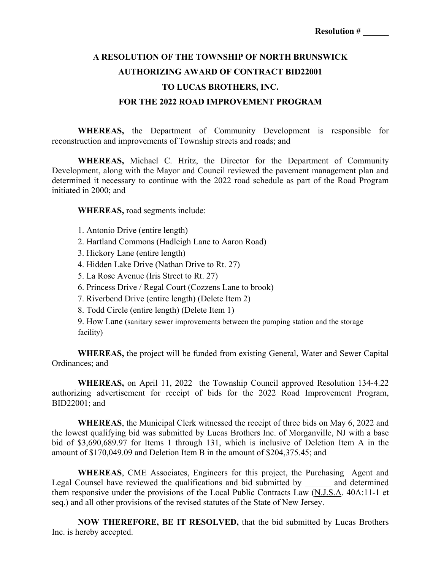## **A RESOLUTION OF THE TOWNSHIP OF NORTH BRUNSWICK AUTHORIZING AWARD OF CONTRACT BID22001 TO LUCAS BROTHERS, INC. FOR THE 2022 ROAD IMPROVEMENT PROGRAM**

**WHEREAS,** the Department of Community Development is responsible for reconstruction and improvements of Township streets and roads; and

**WHEREAS,** Michael C. Hritz, the Director for the Department of Community Development, along with the Mayor and Council reviewed the pavement management plan and determined it necessary to continue with the 2022 road schedule as part of the Road Program initiated in 2000; and

**WHEREAS,** road segments include:

- 1. Antonio Drive (entire length)
- 2. Hartland Commons (Hadleigh Lane to Aaron Road)
- 3. Hickory Lane (entire length)
- 4. Hidden Lake Drive (Nathan Drive to Rt. 27)
- 5. La Rose Avenue (Iris Street to Rt. 27)
- 6. Princess Drive / Regal Court (Cozzens Lane to brook)
- 7. Riverbend Drive (entire length) (Delete Item 2)
- 8. Todd Circle (entire length) (Delete Item 1)
- 9. How Lane (sanitary sewer improvements between the pumping station and the storage facility)

**WHEREAS,** the project will be funded from existing General, Water and Sewer Capital Ordinances; and

**WHEREAS,** on April 11, 2022 the Township Council approved Resolution 134-4.22 authorizing advertisement for receipt of bids for the 2022 Road Improvement Program, BID22001; and

**WHEREAS**, the Municipal Clerk witnessed the receipt of three bids on May 6, 2022 and the lowest qualifying bid was submitted by Lucas Brothers Inc. of Morganville, NJ with a base bid of \$3,690,689.97 for Items 1 through 131, which is inclusive of Deletion Item A in the amount of \$170,049.09 and Deletion Item B in the amount of \$204,375.45; and

**WHEREAS**, CME Associates, Engineers for this project, the Purchasing Agent and Legal Counsel have reviewed the qualifications and bid submitted by \_\_\_\_\_\_ and determined them responsive under the provisions of the Local Public Contracts Law (N.J.S.A. 40A:11-1 et seq.) and all other provisions of the revised statutes of the State of New Jersey.

**NOW THEREFORE, BE IT RESOLVED,** that the bid submitted by Lucas Brothers Inc. is hereby accepted.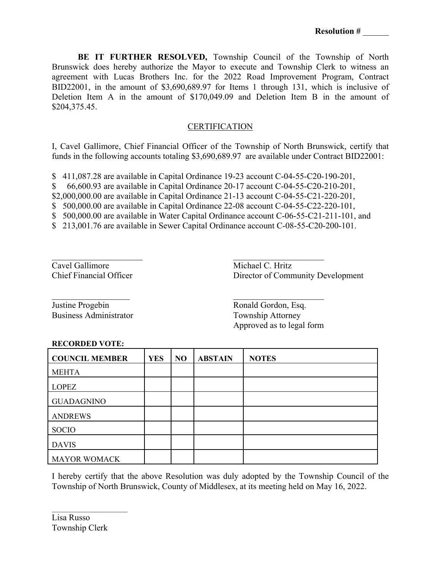**BE IT FURTHER RESOLVED,** Township Council of the Township of North Brunswick does hereby authorize the Mayor to execute and Township Clerk to witness an agreement with Lucas Brothers Inc. for the 2022 Road Improvement Program, Contract BID22001, in the amount of \$3,690,689.97 for Items 1 through 131, which is inclusive of Deletion Item A in the amount of \$170,049.09 and Deletion Item B in the amount of \$204,375.45.

## **CERTIFICATION**

I, Cavel Gallimore, Chief Financial Officer of the Township of North Brunswick, certify that funds in the following accounts totaling \$3,690,689.97 are available under Contract BID22001:

\$ 411,087.28 are available in Capital Ordinance 19-23 account C-04-55-C20-190-201,

\$ 66,600.93 are available in Capital Ordinance 20-17 account C-04-55-C20-210-201,

\$2,000,000.00 are available in Capital Ordinance 21-13 account C-04-55-C21-220-201,

\$ 500,000.00 are available in Capital Ordinance 22-08 account C-04-55-C22-220-101,

\$ 500,000.00 are available in Water Capital Ordinance account C-06-55-C21-211-101, and

\$ 213,001.76 are available in Sewer Capital Ordinance account C-08-55-C20-200-101.

Cavel Gallimore Michael C. Hritz

Chief Financial Officer Director of Community Development

Justine Progebin Ronald Gordon, Esq. Business Administrator Township Attorney

Approved as to legal form

## **RECORDED VOTE:**

| <b>COUNCIL MEMBER</b> | <b>YES</b> | N <sub>O</sub> | <b>ABSTAIN</b> | <b>NOTES</b> |
|-----------------------|------------|----------------|----------------|--------------|
| <b>MEHTA</b>          |            |                |                |              |
| <b>LOPEZ</b>          |            |                |                |              |
| <b>GUADAGNINO</b>     |            |                |                |              |
| <b>ANDREWS</b>        |            |                |                |              |
| <b>SOCIO</b>          |            |                |                |              |
| <b>DAVIS</b>          |            |                |                |              |
| <b>MAYOR WOMACK</b>   |            |                |                |              |

I hereby certify that the above Resolution was duly adopted by the Township Council of the Township of North Brunswick, County of Middlesex, at its meeting held on May 16, 2022.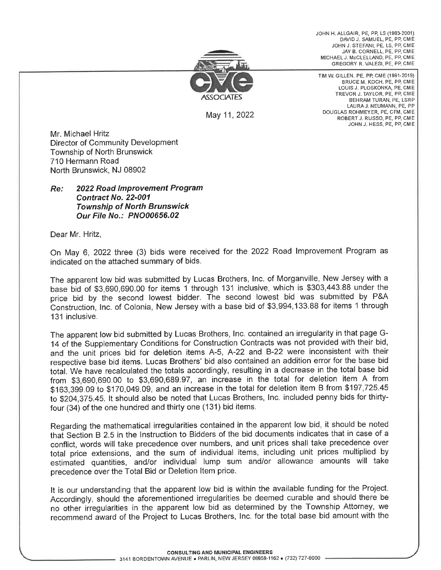JOHN H. ALLGAIR, PE, PP, LS (1983-2001) DAVID J. SAMUEL, PE, PP, CME JOHN J. STEFANI, PE, LS, PP, CME JAY B. CORNELL, PE, PP, CME MICHAEL J. McCLELLAND, PE, PP, CME GREGORY R. VALESI, PE, PP, CME



May 11, 2022

TIM W. GILLEN, PE, PP, CME (1991-2019) BRUCE M. KOCH, PE, PP, CME LOUIS J. PLOSKONKA, PE, CME TREVOR J. TAYLOR, PE, PP, CME BEHRAM TURAN, PE, LSRP LAURA J. NEUMANN, PE, PP DOUGLAS ROHMEYER, PE, CFM, CME ROBERT J. RUSSO, PE, PP, CME JOHN J. HESS, PE, PP, CME

Mr. Michael Hritz **Director of Community Development** 

Township of North Brunswick 710 Hermann Road North Brunswick, NJ 08902

2022 Road Improvement Program Re: Contract No. 22-001 **Township of North Brunswick** Our File No.: PNO00656.02

Dear Mr. Hritz,

On May 6, 2022 three (3) bids were received for the 2022 Road Improvement Program as indicated on the attached summary of bids.

The apparent low bid was submitted by Lucas Brothers, Inc. of Morganville, New Jersey with a base bid of \$3,690,690.00 for items 1 through 131 inclusive, which is \$303,443.88 under the price bid by the second lowest bidder. The second lowest bid was submitted by P&A Construction, Inc. of Colonia, New Jersey with a base bid of \$3,994,133.88 for items 1 through 131 inclusive.

The apparent low bid submitted by Lucas Brothers, Inc. contained an irregularity in that page G-14 of the Supplementary Conditions for Construction Contracts was not provided with their bid, and the unit prices bid for deletion items A-5, A-22 and B-22 were inconsistent with their respective base bid items. Lucas Brothers' bid also contained an addition error for the base bid total. We have recalculated the totals accordingly, resulting in a decrease in the total base bid from \$3,690,690.00 to \$3,690,689.97, an increase in the total for deletion item A from \$163,399.09 to \$170,049.09, and an increase in the total for deletion item B from \$197,725.45 to \$204,375.45. It should also be noted that Lucas Brothers, Inc. included penny bids for thirtyfour (34) of the one hundred and thirty one (131) bid items.

Regarding the mathematical irregularities contained in the apparent low bid, it should be noted that Section B 2.5 in the Instruction to Bidders of the bid documents indicates that in case of a conflict, words will take precedence over numbers, and unit prices shall take precedence over total price extensions, and the sum of individual items, including unit prices multiplied by estimated quantities, and/or individual lump sum and/or allowance amounts will take precedence over the Total Bid or Deletion Item price.

It is our understanding that the apparent low bid is within the available funding for the Project. Accordingly, should the aforementioned irregularities be deemed curable and should there be no other irregularities in the apparent low bid as determined by the Township Attorney, we recommend award of the Project to Lucas Brothers, Inc. for the total base bid amount with the